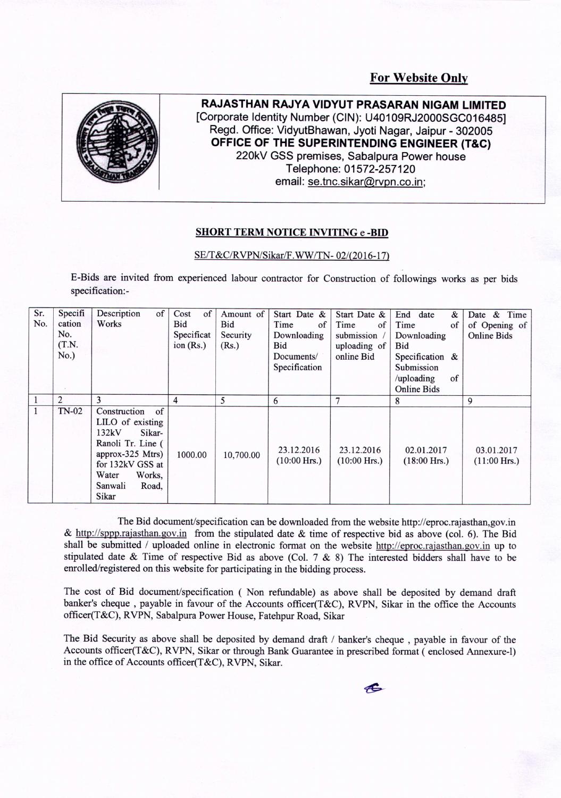**For Website Only**



**RAJASTHAN RAJYA VIDYUT PRASARAN NIGAM LIMITED [Corporate Identity Number (CIN): U40109RJ2000SGC016485] Regd. Office: VidyutBhawan, Jyoti Nagar, Jaipur - 302005 OFFICE OF THE SUPERINTENDING ENGINEER (T&C) 220kV GSS premises, Sabalpura Power house Telephone: 01572-257120 email: se.tnc.sikar@rvpn.co.in;**

## **SHORT TERM NOTICE INVITING e -BID**

## SE/T&C/RVPN/Sikar/F.WW/TN-02/(2016-17)

E-Bids are invited from experienced labour contractor for Construction of followings works as per bids specification:-

| Sr.<br>No. | Specifi<br>cation<br>No.<br>(T.N.<br>No.) | Description<br>of<br>Works                                                                                                                                                    | Cost<br>of<br>Bid<br>Specificat<br>ion $(Rs.)$ | Amount of<br>Bid<br>Security<br>(Rs.) | Start Date &<br>Time<br>of<br>Downloading<br>Bid<br>Documents/<br>Specification | Start Date &<br>Time<br>of<br>submission<br>uploading of<br>online Bid | End<br>date<br>&<br>Time<br>of<br>Downloading<br>Bid<br>Specification &<br>Submission<br>/uploading<br>of | & Time<br>Date<br>of Opening of<br><b>Online Bids</b> |
|------------|-------------------------------------------|-------------------------------------------------------------------------------------------------------------------------------------------------------------------------------|------------------------------------------------|---------------------------------------|---------------------------------------------------------------------------------|------------------------------------------------------------------------|-----------------------------------------------------------------------------------------------------------|-------------------------------------------------------|
|            | 2                                         | 3                                                                                                                                                                             | 4                                              | 5                                     | 6                                                                               | $\overline{7}$                                                         | <b>Online Bids</b><br>8                                                                                   | 9                                                     |
| 1          | $TN-02$                                   | $\circ$ f<br>Construction<br>LILO of existing<br>132kV<br>Sikar-<br>Ranoli Tr. Line (<br>approx-325 Mtrs)<br>for 132kV GSS at<br>Water<br>Works,<br>Sanwali<br>Road.<br>Sikar | 1000.00                                        | 10,700.00                             | 23.12.2016<br>$(10:00$ Hrs.)                                                    | 23.12.2016<br>$(10:00$ Hrs.)                                           | 02.01.2017<br>$(18:00$ Hrs.)                                                                              | 03.01.2017<br>$(11:00$ Hrs.)                          |

The Bid document/specification can be downloaded from the website http://eproc.rajasthan.gov.in & http://sppp.rajasthan.gov.in from the stipulated date & time of respective bid as above (col. 6). The Bid shall be submitted / uploaded online in electronic format on the website http://eproc.rajasthan.gov.in up to stipulated date & Time of respective Bid as above (Col. 7 & 8) The interested bidders shall have to be enrolled/registered on this website for participating in the bidding process.

The cost of Bid document/specification ( Non refundable) as above shall be deposited by demand draft banker's cheque, payable in favour of the Accounts officer(T&C), RVPN, Sikar in the office the Accounts officer(T&C), RVPN, Sabalpura Power House, Fatehpur Road, Sikar

The Bid Security as above shall be deposited by demand draft / banker's cheque , payable in favour of the Accounts officer(T&C), RVPN, Sikar or through Bank Guarantee in prescribed format (enclosed Annexure-I) in the office of Accounts officer(T&C), RVPN, Sikar.